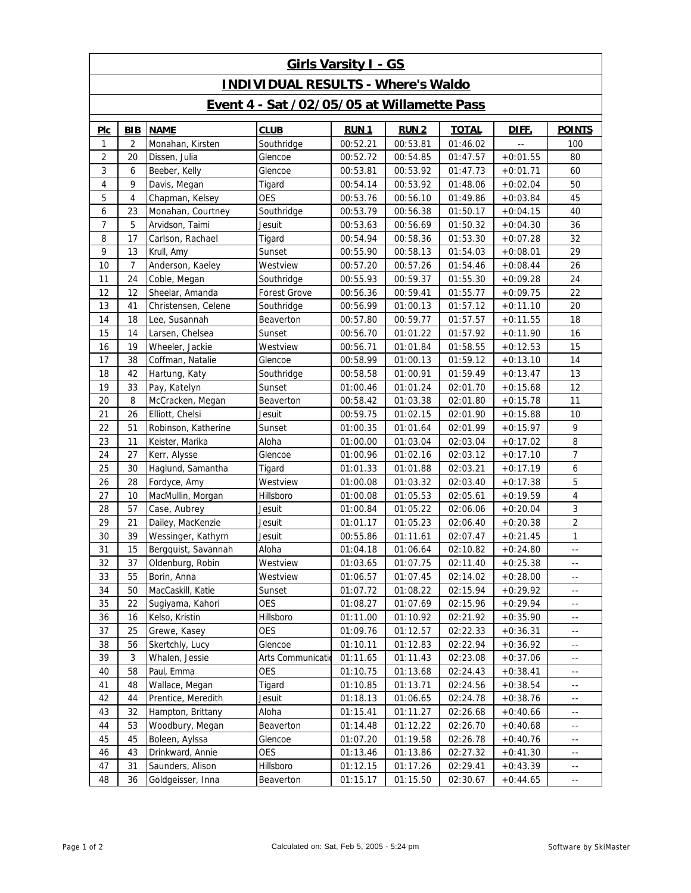| <b>Girls Varsity I - GS</b>                |                |                               |                     |             |             |              |            |                                               |  |  |  |  |
|--------------------------------------------|----------------|-------------------------------|---------------------|-------------|-------------|--------------|------------|-----------------------------------------------|--|--|--|--|
| <b>INDIVIDUAL RESULTS - Where's Waldo</b>  |                |                               |                     |             |             |              |            |                                               |  |  |  |  |
| Event 4 - Sat /02/05/05 at Willamette Pass |                |                               |                     |             |             |              |            |                                               |  |  |  |  |
| Plc                                        | <b>BIB</b>     | <b>NAME</b>                   | <b>CLUB</b>         | <b>RUN1</b> | <b>RUN2</b> | <b>TOTAL</b> | DIFF.      | <b>POINTS</b>                                 |  |  |  |  |
| 1                                          | 2              | Monahan, Kirsten              | Southridge          | 00:52.21    | 00:53.81    | 01:46.02     |            | 100                                           |  |  |  |  |
| $\overline{c}$                             | 20             | Dissen, Julia                 | Glencoe             | 00:52.72    | 00:54.85    | 01:47.57     | $+0:01.55$ | 80                                            |  |  |  |  |
| 3                                          | 6              | Beeber, Kelly                 | Glencoe             | 00:53.81    | 00:53.92    | 01:47.73     | $+0:01.71$ | 60                                            |  |  |  |  |
| 4                                          | 9              | Davis, Megan                  | Tigard              | 00:54.14    | 00:53.92    | 01:48.06     | $+0:02.04$ | 50                                            |  |  |  |  |
| 5                                          | $\overline{4}$ | Chapman, Kelsey<br><b>OES</b> |                     | 00:53.76    | 00:56.10    | 01:49.86     | $+0:03.84$ | 45                                            |  |  |  |  |
| 6                                          | 23             | Monahan, Courtney             | Southridge          | 00:53.79    | 00:56.38    | 01:50.17     | $+0:04.15$ | 40                                            |  |  |  |  |
| 7                                          | 5              | Arvidson, Taimi               | Jesuit              | 00:53.63    | 00:56.69    | 01:50.32     | $+0:04.30$ | 36                                            |  |  |  |  |
| 8                                          | 17             | Carlson, Rachael              | Tigard              | 00:54.94    | 00:58.36    | 01:53.30     | $+0:07.28$ | 32                                            |  |  |  |  |
| 9                                          | 13             | Krull, Amy                    | Sunset              | 00:55.90    | 00:58.13    | 01:54.03     | $+0:08.01$ | 29                                            |  |  |  |  |
| 10                                         | $\overline{7}$ | Anderson, Kaeley              | Westview            | 00:57.20    | 00:57.26    | 01:54.46     | $+0:08.44$ | 26                                            |  |  |  |  |
| 11                                         | 24             | Coble, Megan                  | Southridge          | 00:55.93    | 00:59.37    | 01:55.30     | $+0:09.28$ | 24                                            |  |  |  |  |
| 12                                         | 12             | Sheelar, Amanda               | <b>Forest Grove</b> | 00:56.36    | 00:59.41    | 01:55.77     | $+0:09.75$ | 22                                            |  |  |  |  |
| 13                                         | 41             | Christensen, Celene           | Southridge          | 00:56.99    | 01:00.13    | 01:57.12     | $+0:11.10$ | 20                                            |  |  |  |  |
| 14                                         | 18             | Lee, Susannah                 | Beaverton           | 00:57.80    | 00:59.77    | 01:57.57     | $+0:11.55$ | 18                                            |  |  |  |  |
| 15                                         | 14             | Larsen, Chelsea               | Sunset              | 00:56.70    | 01:01.22    | 01:57.92     | $+0:11.90$ | 16                                            |  |  |  |  |
| 16                                         | 19             | Wheeler, Jackie               | Westview            | 00:56.71    | 01:01.84    | 01:58.55     | $+0:12.53$ | 15                                            |  |  |  |  |
| 17                                         | 38             | Coffman, Natalie              | Glencoe             | 00:58.99    | 01:00.13    | 01:59.12     | $+0:13.10$ | 14                                            |  |  |  |  |
| 18                                         | 42             | Hartung, Katy                 | Southridge          | 00:58.58    | 01:00.91    | 01:59.49     | $+0:13.47$ | 13                                            |  |  |  |  |
| 19                                         | 33             | Pay, Katelyn                  | Sunset              | 01:00.46    | 01:01.24    | 02:01.70     | $+0:15.68$ | 12                                            |  |  |  |  |
| 20                                         | 8              | McCracken, Megan              | Beaverton           | 00:58.42    | 01:03.38    | 02:01.80     | $+0:15.78$ | 11                                            |  |  |  |  |
| 21                                         | 26             | Elliott, Chelsi               | Jesuit              | 00:59.75    | 01:02.15    | 02:01.90     | $+0:15.88$ | 10                                            |  |  |  |  |
| 22                                         | 51             | Robinson, Katherine           | Sunset              | 01:00.35    | 01:01.64    | 02:01.99     | $+0:15.97$ | 9                                             |  |  |  |  |
| 23                                         | 11             | Keister, Marika               | Aloha               | 01:00.00    | 01:03.04    | 02:03.04     | $+0:17.02$ | 8                                             |  |  |  |  |
| 24                                         | 27             | Kerr, Alysse                  | Glencoe             | 01:00.96    | 01:02.16    | 02:03.12     | $+0:17.10$ | $\overline{7}$                                |  |  |  |  |
| 25                                         | 30             | Haglund, Samantha             | Tigard              | 01:01.33    | 01:01.88    | 02:03.21     | $+0:17.19$ | 6                                             |  |  |  |  |
| 26                                         | 28             | Fordyce, Amy                  | Westview            | 01:00.08    | 01:03.32    | 02:03.40     | $+0:17.38$ | $\mathbf 5$                                   |  |  |  |  |
| 27                                         | 10             | MacMullin, Morgan             | Hillsboro           | 01:00.08    | 01:05.53    | 02:05.61     | $+0:19.59$ | $\overline{4}$                                |  |  |  |  |
| 28                                         | 57             | Case, Aubrey                  | Jesuit              | 01:00.84    | 01:05.22    | 02:06.06     | $+0:20.04$ | $\sqrt{3}$                                    |  |  |  |  |
| 29                                         | 21             | Dailey, MacKenzie             | Jesuit              | 01:01.17    | 01:05.23    | 02:06.40     | $+0:20.38$ | $\overline{c}$                                |  |  |  |  |
| 30                                         | 39             | Wessinger, Kathyrn            | Jesuit              | 00:55.86    | 01:11.61    | 02:07.47     | $+0:21.45$ | $\mathbf{1}$                                  |  |  |  |  |
| 31                                         | 15             | Bergquist, Savannah           | Aloha               | 01:04.18    | 01:06.64    | 02:10.82     | $+0:24.80$ | $\mathord{\hspace{1pt}\text{--}\hspace{1pt}}$ |  |  |  |  |
| 32                                         | 37             | Oldenburg, Robin              | Westview            | 01:03.65    | 01:07.75    | 02:11.40     | $+0:25.38$ | $\mathord{\hspace{1pt}\text{--}\hspace{1pt}}$ |  |  |  |  |
| 33                                         | 55             | Borin, Anna                   | Westview            | 01:06.57    | 01:07.45    | 02:14.02     | $+0.28.00$ | $\overline{\phantom{a}}$                      |  |  |  |  |
| 34                                         | 50             | MacCaskill, Katie             | Sunset              | 01:07.72    | 01:08.22    | 02:15.94     | $+0:29.92$ | ٠.                                            |  |  |  |  |
| 35                                         | 22             | Sugiyama, Kahori              | OES                 | 01:08.27    | 01:07.69    | 02:15.96     | $+0.29.94$ | $\overline{\phantom{a}}$ .                    |  |  |  |  |
| 36                                         | 16             | Kelso, Kristin                | Hillsboro           | 01:11.00    | 01:10.92    | 02:21.92     | $+0:35.90$ | ٠.                                            |  |  |  |  |
| 37                                         | 25             | <b>OES</b><br>Grewe, Kasey    |                     | 01:09.76    | 01:12.57    | 02:22.33     | $+0:36.31$ | $\overline{\phantom{a}}$ .                    |  |  |  |  |
| 38                                         | 56             | Skertchly, Lucy               | Glencoe             | 01:10.11    | 01:12.83    | 02:22.94     | $+0:36.92$ | ٠.                                            |  |  |  |  |
| 39                                         | 3              | Whalen, Jessie                | Arts Communicatio   | 01:11.65    | 01:11.43    | 02:23.08     | $+0:37.06$ | $\overline{\phantom{a}}$ .                    |  |  |  |  |
| 40                                         | 58             | <b>OES</b><br>Paul, Emma      |                     | 01:10.75    | 01:13.68    | 02:24.43     | $+0:38.41$ | ٠.                                            |  |  |  |  |
| 41                                         | 48             | Wallace, Megan                | Tigard              | 01:10.85    | 01:13.71    | 02:24.56     | $+0:38.54$ | $\overline{\phantom{a}}$ .                    |  |  |  |  |
| 42                                         | 44             | Prentice, Meredith            | Jesuit              | 01:18.13    | 01:06.65    | 02:24.78     | $+0:38.76$ | $\overline{\phantom{a}}$ .                    |  |  |  |  |
| 43                                         | 32             | Hampton, Brittany             | Aloha               | 01:15.41    | 01:11.27    | 02:26.68     | $+0:40.66$ | $\overline{\phantom{a}}$ .                    |  |  |  |  |
| 44                                         | 53             | Woodbury, Megan               | Beaverton           | 01:14.48    | 01:12.22    | 02:26.70     | $+0:40.68$ | $\overline{\phantom{a}}$ .                    |  |  |  |  |
| 45                                         | 45             | Boleen, Aylssa                | Glencoe             | 01:07.20    | 01:19.58    | 02:26.78     | $+0:40.76$ | $\overline{\phantom{a}}$ .                    |  |  |  |  |
| 46                                         | 43             | Drinkward, Annie              | <b>OES</b>          | 01:13.46    | 01:13.86    | 02:27.32     | $+0:41.30$ | $\overline{\phantom{a}}$ .                    |  |  |  |  |
| 47                                         | 31             | Saunders, Alison              | Hillsboro           | 01:12.15    | 01:17.26    | 02:29.41     | $+0:43.39$ | ٠.                                            |  |  |  |  |
| 48                                         | 36             | Goldgeisser, Inna             | Beaverton           | 01:15.17    | 01:15.50    | 02:30.67     | $+0:44.65$ | $\mathord{\hspace{1pt}\text{--}\hspace{1pt}}$ |  |  |  |  |